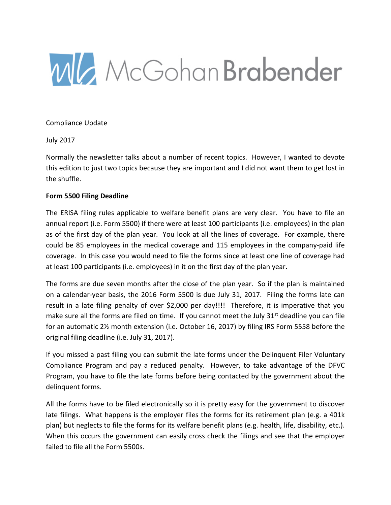

Compliance Update

July 2017

Normally the newsletter talks about a number of recent topics. However, I wanted to devote this edition to just two topics because they are important and I did not want them to get lost in the shuffle.

## **Form 5500 Filing Deadline**

The ERISA filing rules applicable to welfare benefit plans are very clear. You have to file an annual report (i.e. Form 5500) if there were at least 100 participants (i.e. employees) in the plan as of the first day of the plan year. You look at all the lines of coverage. For example, there could be 85 employees in the medical coverage and 115 employees in the company-paid life coverage. In this case you would need to file the forms since at least one line of coverage had at least 100 participants (i.e. employees) in it on the first day of the plan year.

The forms are due seven months after the close of the plan year. So if the plan is maintained on a calendar-year basis, the 2016 Form 5500 is due July 31, 2017. Filing the forms late can result in a late filing penalty of over \$2,000 per day!!!! Therefore, it is imperative that you make sure all the forms are filed on time. If you cannot meet the July  $31<sup>st</sup>$  deadline you can file for an automatic 2½ month extension (i.e. October 16, 2017) by filing IRS Form 5558 before the original filing deadline (i.e. July 31, 2017).

If you missed a past filing you can submit the late forms under the Delinquent Filer Voluntary Compliance Program and pay a reduced penalty. However, to take advantage of the DFVC Program, you have to file the late forms before being contacted by the government about the delinquent forms.

All the forms have to be filed electronically so it is pretty easy for the government to discover late filings. What happens is the employer files the forms for its retirement plan (e.g. a 401k plan) but neglects to file the forms for its welfare benefit plans (e.g. health, life, disability, etc.). When this occurs the government can easily cross check the filings and see that the employer failed to file all the Form 5500s.